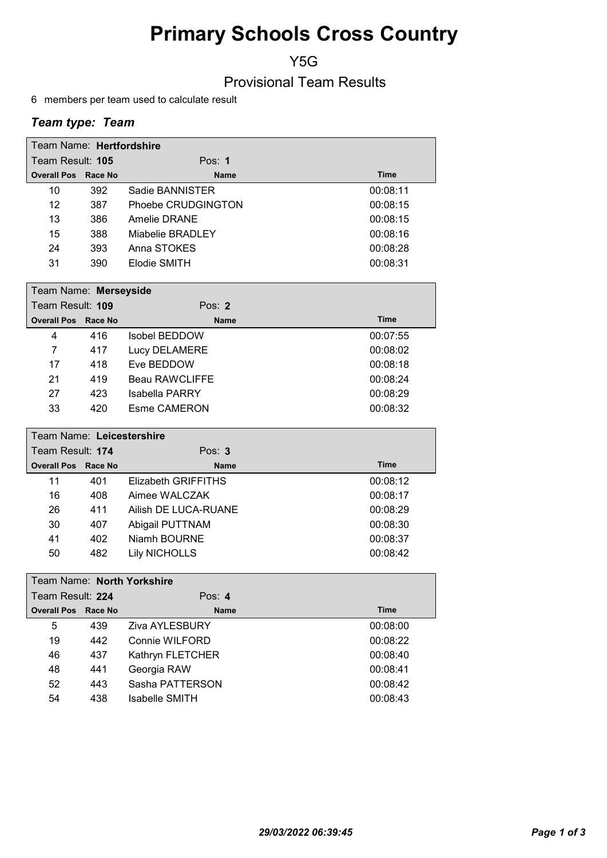# Primary Schools Cross Country

Y5G

Provisional Team Results

6 members per team used to calculate result

### Team type: Team

| Team Name: Hertfordshire   |     |                    |          |
|----------------------------|-----|--------------------|----------|
| Team Result: 105           |     | Pos: $1$           |          |
| <b>Overall Pos Race No</b> |     | <b>Name</b>        | Time     |
| 10                         | 392 | Sadie BANNISTER    | 00:08:11 |
| 12                         | 387 | Phoebe CRUDGINGTON | 00:08:15 |
| 13                         | 386 | Amelie DRANE       | 00:08:15 |
| 15                         | 388 | Miabelie BRADLEY   | 00:08:16 |
| 24                         | 393 | Anna STOKES        | 00:08:28 |
| 31                         | 390 | Elodie SMITH       | 00:08:31 |

|                  | Team Name: Merseyside      |     |                |             |  |
|------------------|----------------------------|-----|----------------|-------------|--|
| Team Result: 109 |                            |     | Pos: $2$       |             |  |
|                  | <b>Overall Pos Race No</b> |     | <b>Name</b>    | <b>Time</b> |  |
|                  | 4                          | 416 | Isobel BEDDOW  | 00:07:55    |  |
|                  | 7                          | 417 | Lucy DELAMERE  | 00:08:02    |  |
|                  | 17                         | 418 | Eve BEDDOW     | 00:08:18    |  |
|                  | 21                         | 419 | Beau RAWCLIFFE | 00:08:24    |  |
|                  | 27                         | 423 | Isabella PARRY | 00:08:29    |  |
|                  | 33                         | 420 | Esme CAMERON   | 00:08:32    |  |
|                  |                            |     |                |             |  |

| Team Name: Leicestershire  |     |                      |             |  |
|----------------------------|-----|----------------------|-------------|--|
| Team Result: 174           |     | Pos: $3$             |             |  |
| <b>Overall Pos Race No</b> |     | <b>Name</b>          | <b>Time</b> |  |
| 11                         | 401 | Elizabeth GRIFFITHS  | 00:08:12    |  |
| 16                         | 408 | Aimee WALCZAK        | 00:08:17    |  |
| 26                         | 411 | Ailish DE LUCA-RUANE | 00:08:29    |  |
| 30                         | 407 | Abigail PUTTNAM      | 00:08:30    |  |
| 41                         | 402 | Niamh BOURNE         | 00:08:37    |  |
| 50                         | 482 | <b>Lily NICHOLLS</b> | 00:08:42    |  |

|                  | Team Name: North Yorkshire |         |                       |             |  |
|------------------|----------------------------|---------|-----------------------|-------------|--|
| Team Result: 224 |                            |         | Pos: $4$              |             |  |
|                  | <b>Overall Pos</b>         | Race No | <b>Name</b>           | <b>Time</b> |  |
|                  | 5                          | 439     | <b>Ziva AYLESBURY</b> | 00:08:00    |  |
|                  | 19                         | 442     | Connie WILFORD        | 00:08:22    |  |
|                  | 46                         | 437     | Kathryn FLETCHER      | 00:08:40    |  |
|                  | 48                         | 441     | Georgia RAW           | 00:08:41    |  |
|                  | 52                         | 443     | Sasha PATTERSON       | 00:08:42    |  |
|                  | 54                         | 438     | Isabelle SMITH        | 00:08:43    |  |
|                  |                            |         |                       |             |  |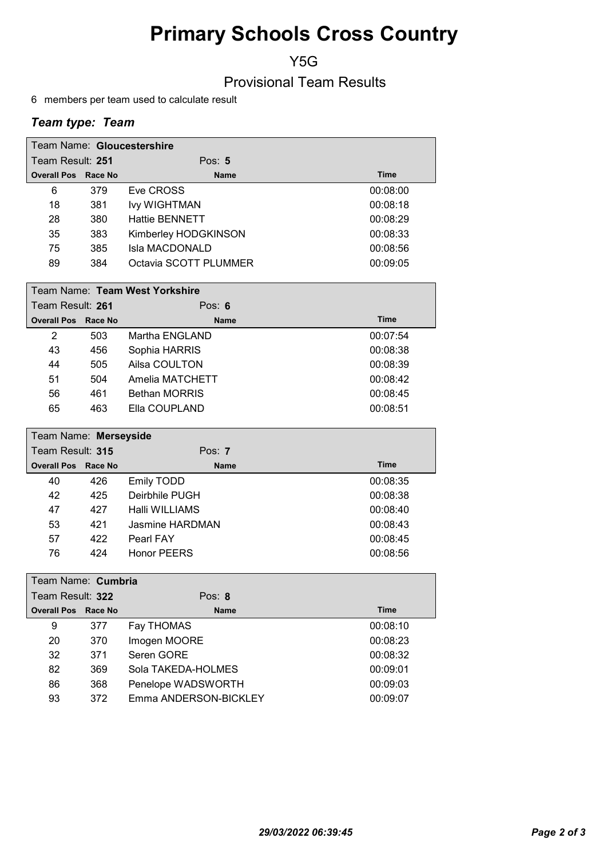# Primary Schools Cross Country

Y5G

Provisional Team Results

6 members per team used to calculate result

### Team type: Team

| Team Name: Gloucestershire |     |                       |          |
|----------------------------|-----|-----------------------|----------|
| Team Result: 251           |     | Pos: $5$              |          |
| <b>Overall Pos Race No</b> |     | <b>Name</b>           | Time     |
| 6                          | 379 | Eve CROSS             | 00:08:00 |
| 18                         | 381 | <b>Ivy WIGHTMAN</b>   | 00:08:18 |
| 28                         | 380 | <b>Hattie BENNETT</b> | 00:08:29 |
| 35                         | 383 | Kimberley HODGKINSON  | 00:08:33 |
| 75                         | 385 | Isla MACDONALD        | 00:08:56 |
| 89                         | 384 | Octavia SCOTT PLUMMER | 00:09:05 |

|                            | Team Name: Team West Yorkshire |                      |             |  |  |
|----------------------------|--------------------------------|----------------------|-------------|--|--|
| Team Result: 261           |                                | Pos: $6$             |             |  |  |
| <b>Overall Pos Race No</b> |                                | <b>Name</b>          | <b>Time</b> |  |  |
| 2                          | 503                            | Martha ENGLAND       | 00:07:54    |  |  |
| 43                         | 456                            | Sophia HARRIS        | 00:08:38    |  |  |
| 44                         | 505                            | Ailsa COULTON        | 00:08:39    |  |  |
| 51                         | 504                            | Amelia MATCHETT      | 00:08:42    |  |  |
| 56                         | 461                            | <b>Bethan MORRIS</b> | 00:08:45    |  |  |
| 65                         | 463                            | Ella COUPLAND        | 00:08:51    |  |  |

| Team Name: Merseyside      |     |                    |             |  |
|----------------------------|-----|--------------------|-------------|--|
| Team Result: 315           |     | Pos: $7$           |             |  |
| <b>Overall Pos Race No</b> |     | <b>Name</b>        | <b>Time</b> |  |
| 40                         | 426 | Emily TODD         | 00:08:35    |  |
| 42                         | 425 | Deirbhile PUGH     | 00:08:38    |  |
| 47                         | 427 | Halli WILLIAMS     | 00:08:40    |  |
| 53                         | 421 | Jasmine HARDMAN    | 00:08:43    |  |
| 57                         | 422 | Pearl FAY          | 00:08:45    |  |
| 76                         | 424 | <b>Honor PEERS</b> | 00:08:56    |  |

|                  | Team Name: Cumbria         |     |                       |             |  |
|------------------|----------------------------|-----|-----------------------|-------------|--|
| Team Result: 322 |                            |     | Pos: $8$              |             |  |
|                  | <b>Overall Pos Race No</b> |     | <b>Name</b>           | <b>Time</b> |  |
|                  | 9                          | 377 | Fay THOMAS            | 00:08:10    |  |
|                  | 20                         | 370 | Imogen MOORE          | 00:08:23    |  |
|                  | 32                         | 371 | Seren GORE            | 00:08:32    |  |
|                  | 82                         | 369 | Sola TAKEDA-HOLMES    | 00:09:01    |  |
|                  | 86                         | 368 | Penelope WADSWORTH    | 00:09:03    |  |
|                  | 93                         | 372 | Emma ANDERSON-BICKLEY | 00:09:07    |  |
|                  |                            |     |                       |             |  |